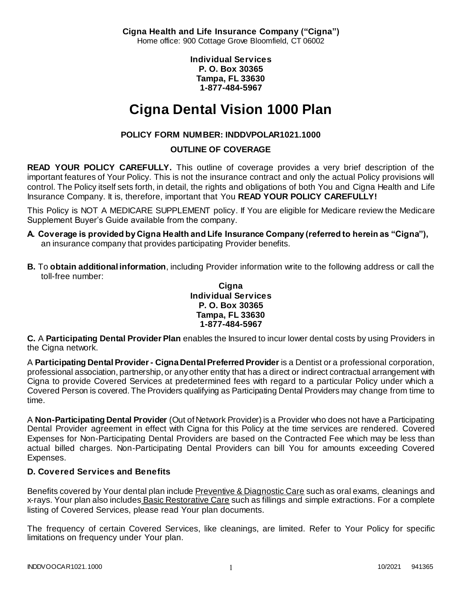**Cigna Health and Life Insurance Company ("Cigna")** Home office: 900 Cottage Grove Bloomfield, CT 06002

> **Individual Services P. O. Box 30365 Tampa, FL 33630 1-877-484-5967**

# **Cigna Dental Vision 1000 Plan**

# **POLICY FORM NUMBER: INDDVPOLAR1021.1000**

# **OUTLINE OF COVERAGE**

**READ YOUR POLICY CAREFULLY.** This outline of coverage provides a very brief description of the important features of Your Policy. This is not the insurance contract and only the actual Policy provisions will control. The Policy itself sets forth, in detail, the rights and obligations of both You and Cigna Health and Life Insurance Company. It is, therefore, important that You **READ YOUR POLICY CAREFULLY!** 

This Policy is NOT A MEDICARE SUPPLEMENT policy. If You are eligible for Medicare review the Medicare Supplement Buyer's Guide available from the company.

- **A. Coverage is provided by Cigna Health and Life Insurance Company (referred to herein as "Cigna"),**  an insurance company that provides participating Provider benefits.
- **B.** To **obtain additional information**, including Provider information write to the following address or call the toll-free number:

### **Cigna Individual Services P. O. Box 30365 Tampa, FL 33630 1-877-484-5967**

**C.** A **Participating Dental Provider Plan** enables the Insured to incur lower dental costs by using Providers in the Cigna network.

A **Participating Dental Provider - Cigna Dental Preferred Provider** is a Dentist or a professional corporation, professional association, partnership, or any other entity that has a direct or indirect contractual arrangement with Cigna to provide Covered Services at predetermined fees with regard to a particular Policy under which a Covered Person is covered. The Providers qualifying as Participating Dental Providers may change from time to time.

A **Non-Participating Dental Provider** (Out of Network Provider) is a Provider who does not have a Participating Dental Provider agreement in effect with Cigna for this Policy at the time services are rendered. Covered Expenses for Non-Participating Dental Providers are based on the Contracted Fee which may be less than actual billed charges. Non-Participating Dental Providers can bill You for amounts exceeding Covered Expenses.

# **D. Covered Services and Benefits**

Benefits covered by Your dental plan include Preventive & Diagnostic Care such as oral exams, cleanings and x-rays. Your plan also includes Basic Restorative Care such as fillings and simple extractions. For a complete listing of Covered Services, please read Your plan documents.

The frequency of certain Covered Services, like cleanings, are limited. Refer to Your Policy for specific limitations on frequency under Your plan.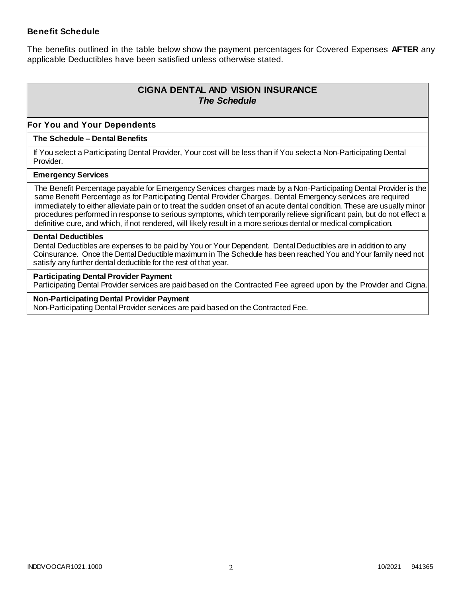### **Benefit Schedule**

The benefits outlined in the table below show the payment percentages for Covered Expenses **AFTER** any applicable Deductibles have been satisfied unless otherwise stated.

# **CIGNA DENTAL AND VISION INSURANCE** *The Schedule*

### **For You and Your Dependents**

### **The Schedule – Dental Benefits**

If You select a Participating Dental Provider, Your cost will be less than if You select a Non-Participating Dental Provider.

#### **Emergency Services**

The Benefit Percentage payable for Emergency Services charges made by a Non-Participating Dental Provider is the same Benefit Percentage as for Participating Dental Provider Charges. Dental Emergency services are required immediately to either alleviate pain or to treat the sudden onset of an acute dental condition. These are usually minor procedures performed in response to serious symptoms, which temporarily relieve significant pain, but do not effect a definitive cure, and which, if not rendered, will likely result in a more serious dental or medical complication.

#### **Dental Deductibles**

Dental Deductibles are expenses to be paid by You or Your Dependent. Dental Deductibles are in addition to any Coinsurance. Once the Dental Deductible maximum in The Schedule has been reached You and Your family need not satisfy any further dental deductible for the rest of that year.

#### **Participating Dental Provider Payment**

Participating Dental Provider services are paid based on the Contracted Fee agreed upon by the Provider and Cigna.

**Non-Participating Dental Provider Payment** Non-Participating Dental Provider services are paid based on the Contracted Fee.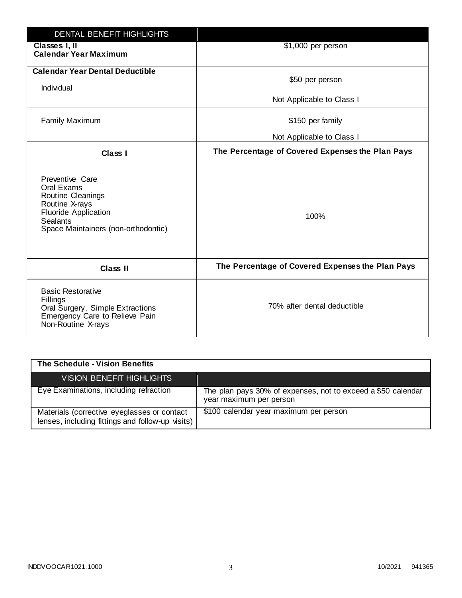| <b>DENTAL BENEFIT HIGHLIGHTS</b>                                                                                                                              |                                                  |
|---------------------------------------------------------------------------------------------------------------------------------------------------------------|--------------------------------------------------|
| Classes I, II<br><b>Calendar Year Maximum</b>                                                                                                                 | \$1,000 per person                               |
| <b>Calendar Year Dental Deductible</b><br>Individual                                                                                                          | \$50 per person                                  |
|                                                                                                                                                               | Not Applicable to Class I                        |
| <b>Family Maximum</b>                                                                                                                                         | \$150 per family                                 |
|                                                                                                                                                               | Not Applicable to Class I                        |
| <b>Class I</b>                                                                                                                                                | The Percentage of Covered Expenses the Plan Pays |
| Preventive Care<br>Oral Exams<br>Routine Cleanings<br>Routine X-rays<br><b>Fluoride Application</b><br><b>Sealants</b><br>Space Maintainers (non-orthodontic) | 100%                                             |
| <b>Class II</b>                                                                                                                                               | The Percentage of Covered Expenses the Plan Pays |
| <b>Basic Restorative</b><br>Fillings<br>Oral Surgery, Simple Extractions<br>Emergency Care to Relieve Pain<br>Non-Routine X-rays                              | 70% after dental deductible                      |

| The Schedule - Vision Benefits                                                                  |                                                                                         |
|-------------------------------------------------------------------------------------------------|-----------------------------------------------------------------------------------------|
| VISION BENEFIT HIGHLIGHTS                                                                       |                                                                                         |
| Eye Examinations, including refraction                                                          | The plan pays 30% of expenses, not to exceed a \$50 calendar<br>year maximum per person |
| Materials (corrective eyeglasses or contact<br>lenses, including fittings and follow-up visits) | \$100 calendar year maximum per person                                                  |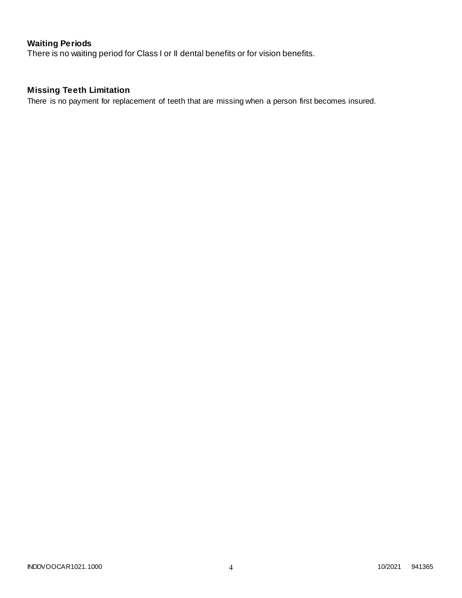# **Waiting Periods**

There is no waiting period for Class I or II dental benefits or for vision benefits.

# **Missing Teeth Limitation**

There is no payment for replacement of teeth that are missing when a person first becomes insured.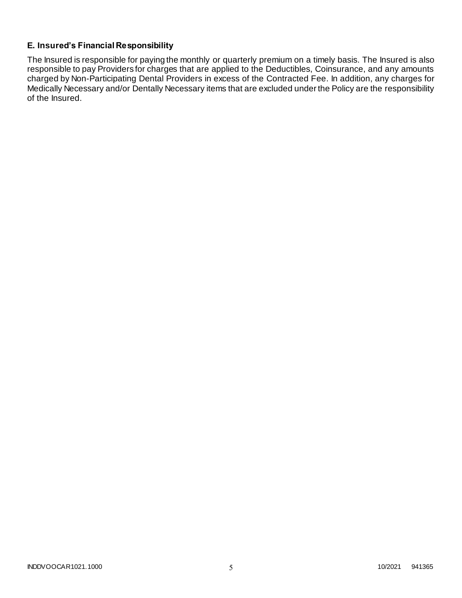# **E. Insured's Financial Responsibility**

The Insured is responsible for paying the monthly or quarterly premium on a timely basis. The Insured is also responsible to pay Providers for charges that are applied to the Deductibles, Coinsurance, and any amounts charged by Non-Participating Dental Providers in excess of the Contracted Fee. In addition, any charges for Medically Necessary and/or Dentally Necessary items that are excluded under the Policy are the responsibility of the Insured.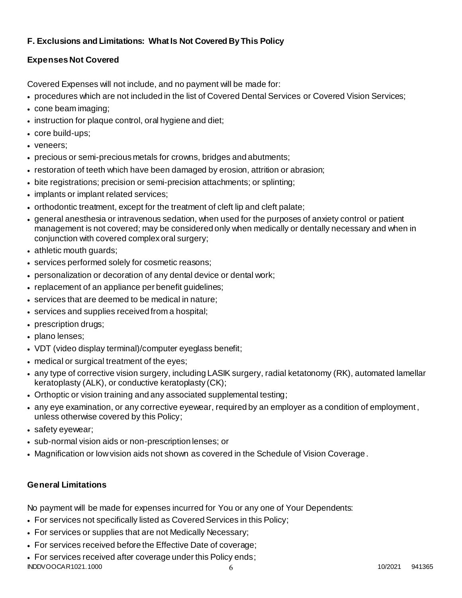# **F. Exclusions and Limitations: What Is Not Covered By This Policy**

# **Expenses Not Covered**

Covered Expenses will not include, and no payment will be made for:

- procedures which are not included in the list of Covered Dental Services or Covered Vision Services;
- cone beam imaging;
- instruction for plaque control, oral hygiene and diet;
- core build-ups;
- veneers;
- precious or semi-precious metals for crowns, bridges and abutments;
- restoration of teeth which have been damaged by erosion, attrition or abrasion;
- bite registrations; precision or semi-precision attachments; or splinting;
- implants or implant related services;
- orthodontic treatment, except for the treatment of cleft lip and cleft palate;
- general anesthesia or intravenous sedation, when used for the purposes of anxiety control or patient management is not covered; may be considered only when medically or dentally necessary and when in conjunction with covered complex oral surgery;
- athletic mouth guards;
- services performed solely for cosmetic reasons;
- personalization or decoration of any dental device or dental work;
- replacement of an appliance per benefit quidelines;
- services that are deemed to be medical in nature;
- services and supplies received from a hospital;
- prescription drugs;
- plano lenses;
- VDT (video display terminal)/computer eyeglass benefit;
- medical or surgical treatment of the eyes;
- any type of corrective vision surgery, including LASIK surgery, radial ketatonomy (RK), automated lamellar keratoplasty (ALK), or conductive keratoplasty (CK);
- Orthoptic or vision training and any associated supplemental testing;
- any eye examination, or any corrective eyewear, required by an employer as a condition of employment , unless otherwise covered by this Policy;
- safety eyewear;
- sub-normal vision aids or non-prescription lenses; or
- Magnification or low vision aids not shown as covered in the Schedule of Vision Coverage.

# **General Limitations**

No payment will be made for expenses incurred for You or any one of Your Dependents:

- For services not specifically listed as Covered Services in this Policy;
- For services or supplies that are not Medically Necessary;
- For services received before the Effective Date of coverage;
- $\,$ iNDDVOOCAR1021.1000 6 10/2021 941365 For services received after coverage under this Policy ends;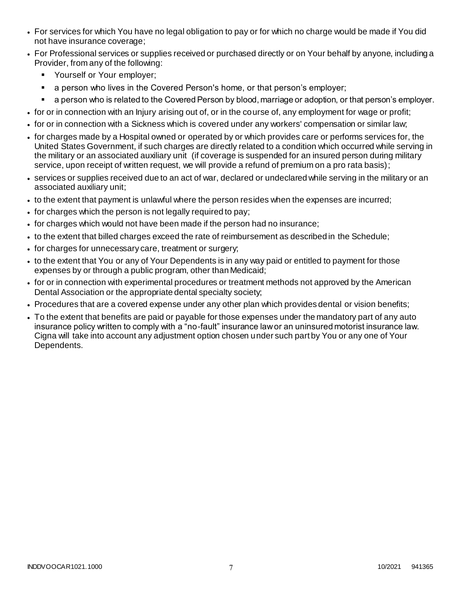- For services for which You have no legal obligation to pay or for which no charge would be made if You did not have insurance coverage;
- For Professional services or supplies received or purchased directly or on Your behalf by anyone, including a Provider, from any of the following:
	- **•** Yourself or Your employer;
	- a person who lives in the Covered Person's home, or that person's employer;
	- a person who is related to the Covered Person by blood, marriage or adoption, or that person's employer.
- for or in connection with an Injury arising out of, or in the course of, any employment for wage or profit;
- for or in connection with a Sickness which is covered under any workers' compensation or similar law;
- for charges made by a Hospital owned or operated by or which provides care or performs services for, the United States Government, if such charges are directly related to a condition which occurred while serving in the military or an associated auxiliary unit (if coverage is suspended for an insured person during military service, upon receipt of written request, we will provide a refund of premium on a pro rata basis);
- services or supplies received due to an act of war, declared or undeclared while serving in the military or an associated auxiliary unit;
- to the extent that payment is unlawful where the person resides when the expenses are incurred;
- for charges which the person is not legally required to pay;
- for charges which would not have been made if the person had no insurance;
- to the extent that billed charges exceed the rate of reimbursement as described in the Schedule;
- for charges for unnecessary care, treatment or surgery;
- to the extent that You or any of Your Dependents is in any way paid or entitled to payment for those expenses by or through a public program, other than Medicaid;
- for or in connection with experimental procedures or treatment methods not approved by the American Dental Association or the appropriate dental specialty society;
- Procedures that are a covered expense under any other plan which provides dental or vision benefits;
- To the extent that benefits are paid or payable for those expenses under the mandatory part of any auto insurance policy written to comply with a "no-fault" insurance law or an uninsured motorist insurance law. Cigna will take into account any adjustment option chosen under such part by You or any one of Your Dependents.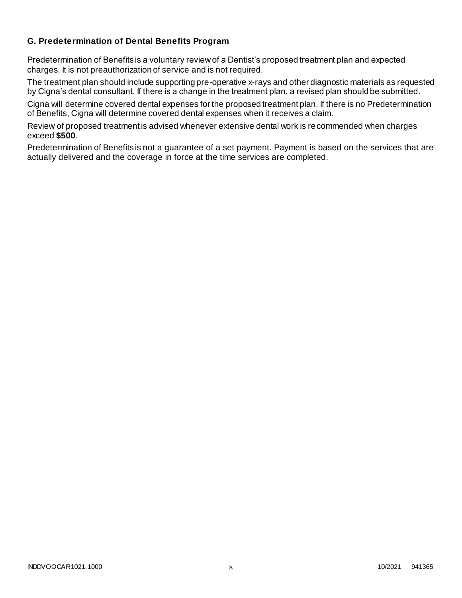### **G. Predetermination of Dental Benefits Program**

Predetermination of Benefits is a voluntary review of a Dentist's proposed treatment plan and expected charges. It is not preauthorization of service and is not required.

The treatment plan should include supporting pre-operative x-rays and other diagnostic materials as requested by Cigna's dental consultant. If there is a change in the treatment plan, a revised plan should be submitted.

Cigna will determine covered dental expenses for the proposed treatment plan. If there is no Predetermination of Benefits, Cigna will determine covered dental expenses when it receives a claim.

Review of proposed treatment is advised whenever extensive dental work is recommended when charges exceed **\$500**.

Predetermination of Benefits is not a guarantee of a set payment. Payment is based on the services that are actually delivered and the coverage in force at the time services are completed.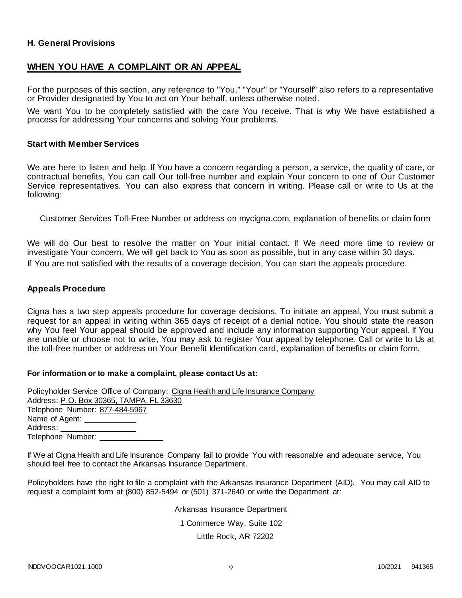### **H. General Provisions**

### **WHEN YOU HAVE A COMPLAINT OR AN APPEAL**

For the purposes of this section, any reference to "You," "Your" or "Yourself" also refers to a representative or Provider designated by You to act on Your behalf, unless otherwise noted.

We want You to be completely satisfied with the care You receive. That is why We have established a process for addressing Your concerns and solving Your problems.

#### **Start with Member Services**

We are here to listen and help. If You have a concern regarding a person, a service, the qualit y of care, or contractual benefits, You can call Our toll-free number and explain Your concern to one of Our Customer Service representatives. You can also express that concern in writing. Please call or write to Us at the following:

Customer Services Toll-Free Number or address on mycigna.com, explanation of benefits or claim form

We will do Our best to resolve the matter on Your initial contact. If We need more time to review or investigate Your concern, We will get back to You as soon as possible, but in any case within 30 days. If You are not satisfied with the results of a coverage decision, You can start the appeals procedure.

#### **Appeals Procedure**

Cigna has a two step appeals procedure for coverage decisions. To initiate an appeal, You must submit a request for an appeal in writing within 365 days of receipt of a denial notice. You should state the reason why You feel Your appeal should be approved and include any information supporting Your appeal. If You are unable or choose not to write, You may ask to register Your appeal by telephone. Call or write to Us at the toll-free number or address on Your Benefit Identification card, explanation of benefits or claim form.

#### **For information or to make a complaint, please contact Us at:**

Policyholder Service Office of Company: Cigna Health and Life Insurance Company Address: P.O. Box 30365, TAMPA, FL 33630 Telephone Number: 877-484-5967 Name of Agent: Address: Telephone Number:

If We at Cigna Health and Life Insurance Company fail to provide You with reasonable and adequate service, You should feel free to contact the Arkansas Insurance Department.

Policyholders have the right to file a complaint with the Arkansas Insurance Department (AID). You may call AID to request a complaint form at (800) 852-5494 or (501) 371-2640 or write the Department at:

> Arkansas Insurance Department 1 Commerce Way, Suite 102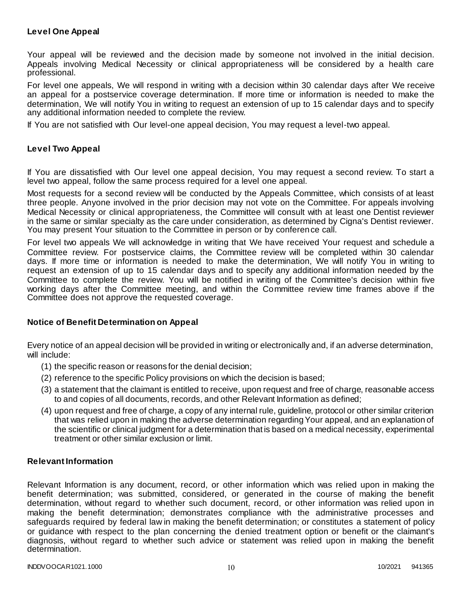### **Level One Appeal**

Your appeal will be reviewed and the decision made by someone not involved in the initial decision. Appeals involving Medical Necessity or clinical appropriateness will be considered by a health care professional.

For level one appeals, We will respond in writing with a decision within 30 calendar days after We receive an appeal for a postservice coverage determination. If more time or information is needed to make the determination, We will notify You in writing to request an extension of up to 15 calendar days and to specify any additional information needed to complete the review.

If You are not satisfied with Our level-one appeal decision, You may request a level-two appeal.

### **Level Two Appeal**

If You are dissatisfied with Our level one appeal decision, You may request a second review. To start a level two appeal, follow the same process required for a level one appeal.

Most requests for a second review will be conducted by the Appeals Committee, which consists of at least three people. Anyone involved in the prior decision may not vote on the Committee. For appeals involving Medical Necessity or clinical appropriateness, the Committee will consult with at least one Dentist reviewer in the same or similar specialty as the care under consideration, as determined by Cigna's Dentist reviewer. You may present Your situation to the Committee in person or by conference call.

For level two appeals We will acknowledge in writing that We have received Your request and schedule a Committee review. For postservice claims, the Committee review will be completed within 30 calendar days. If more time or information is needed to make the determination, We will notify You in writing to request an extension of up to 15 calendar days and to specify any additional information needed by the Committee to complete the review. You will be notified in writing of the Committee's decision within five working days after the Committee meeting, and within the Committee review time frames above if the Committee does not approve the requested coverage.

#### **Notice of Benefit Determination on Appeal**

Every notice of an appeal decision will be provided in writing or electronically and, if an adverse determination, will include:

- (1) the specific reason or reasons for the denial decision;
- (2) reference to the specific Policy provisions on which the decision is based;
- (3) a statement that the claimant is entitled to receive, upon request and free of charge, reasonable access to and copies of all documents, records, and other Relevant Information as defined;
- (4) upon request and free of charge, a copy of any internal rule, guideline, protocol or other similar criterion that was relied upon in making the adverse determination regarding Your appeal, and an explanation of the scientific or clinical judgment for a determination that is based on a medical necessity, experimental treatment or other similar exclusion or limit.

#### **Relevant Information**

Relevant Information is any document, record, or other information which was relied upon in making the benefit determination; was submitted, considered, or generated in the course of making the benefit determination, without regard to whether such document, record, or other information was relied upon in making the benefit determination; demonstrates compliance with the administrative processes and safeguards required by federal law in making the benefit determination; or constitutes a statement of policy or guidance with respect to the plan concerning the denied treatment option or benefit or the claimant's diagnosis, without regard to whether such advice or statement was relied upon in making the benefit determination.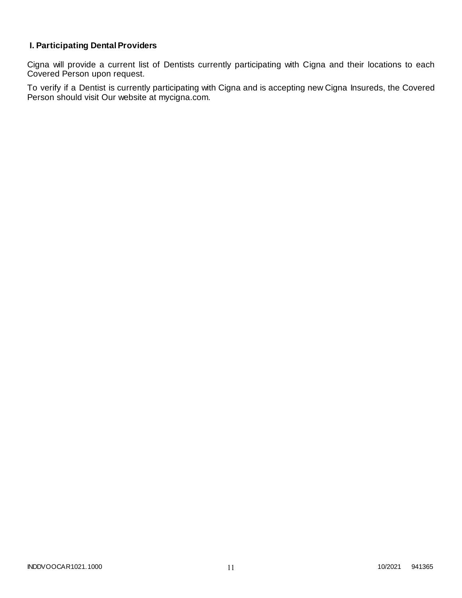# **I. Participating Dental Providers**

Cigna will provide a current list of Dentists currently participating with Cigna and their locations to each Covered Person upon request.

To verify if a Dentist is currently participating with Cigna and is accepting new Cigna Insureds, the Covered Person should visit Our website at mycigna.com.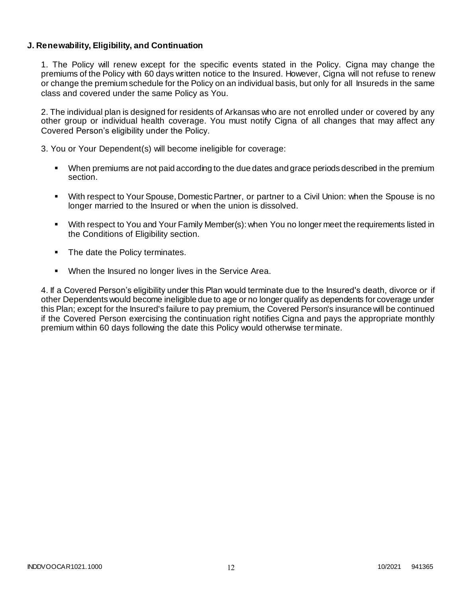### **J. Renewability, Eligibility, and Continuation**

1. The Policy will renew except for the specific events stated in the Policy. Cigna may change the premiums of the Policy with 60 days written notice to the Insured. However, Cigna will not refuse to renew or change the premium schedule for the Policy on an individual basis, but only for all Insureds in the same class and covered under the same Policy as You.

2. The individual plan is designed for residents of Arkansas who are not enrolled under or covered by any other group or individual health coverage. You must notify Cigna of all changes that may affect any Covered Person's eligibility under the Policy.

3. You or Your Dependent(s) will become ineligible for coverage:

- When premiums are not paid according to the due dates and grace periods described in the premium section.
- With respect to Your Spouse, Domestic Partner, or partner to a Civil Union: when the Spouse is no longer married to the Insured or when the union is dissolved.
- With respect to You and Your Family Member(s): when You no longer meet the requirements listed in the Conditions of Eligibility section.
- The date the Policy terminates.
- When the Insured no longer lives in the Service Area.

4. If a Covered Person's eligibility under this Plan would terminate due to the Insured's death, divorce or if other Dependents would become ineligible due to age or no longer qualify as dependents for coverage under this Plan; except for the Insured's failure to pay premium, the Covered Person's insurance will be continued if the Covered Person exercising the continuation right notifies Cigna and pays the appropriate monthly premium within 60 days following the date this Policy would otherwise terminate.